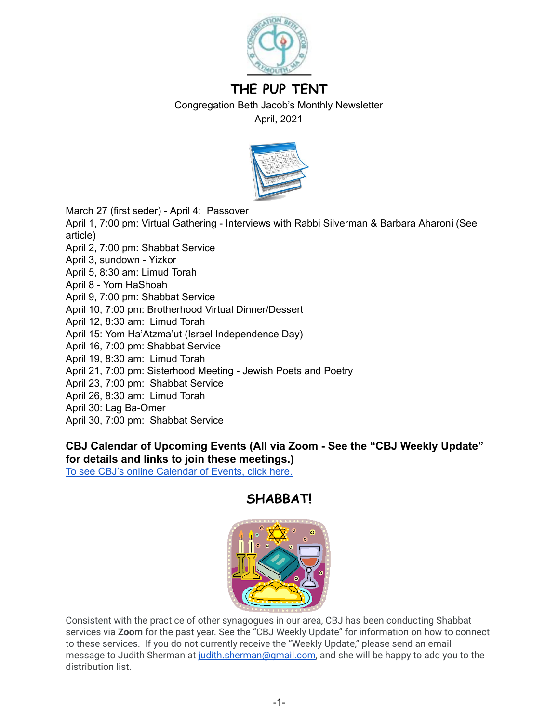

# **THE PUP TENT**

Congregation Beth Jacob's Monthly Newsletter

April, 2021



March 27 (first seder) - April 4: Passover

April 1, 7:00 pm: Virtual Gathering - Interviews with Rabbi Silverman & Barbara Aharoni (See article)

- April 2, 7:00 pm: Shabbat Service
- April 3, sundown Yizkor
- April 5, 8:30 am: Limud Torah
- April 8 Yom HaShoah
- April 9, 7:00 pm: Shabbat Service
- April 10, 7:00 pm: Brotherhood Virtual Dinner/Dessert
- April 12, 8:30 am: Limud Torah
- April 15: Yom Ha'Atzma'ut (Israel Independence Day)
- April 16, 7:00 pm: Shabbat Service
- April 19, 8:30 am: Limud Torah
- April 21, 7:00 pm: Sisterhood Meeting Jewish Poets and Poetry
- April 23, 7:00 pm: Shabbat Service
- April 26, 8:30 am: Limud Torah
- April 30: Lag Ba-Omer
- April 30, 7:00 pm: Shabbat Service

## **CBJ Calendar of Upcoming Events (All via Zoom - See the "CBJ Weekly Update" for details and links to join these meetings.)**

To see CBJ's online [Calendar](http://cbjplymouth.org/) of Events, click here.

# **SHABBAT!**



Consistent with the practice of other synagogues in our area, CBJ has been conducting Shabbat services via **Zoom** for the past year. See the "CBJ Weekly Update" for information on how to connect to these services. If you do not currently receive the "Weekly Update," please send an email message to Judith Sherman at judith.sherman@gmail.com, and she will be happy to add you to the distribution list.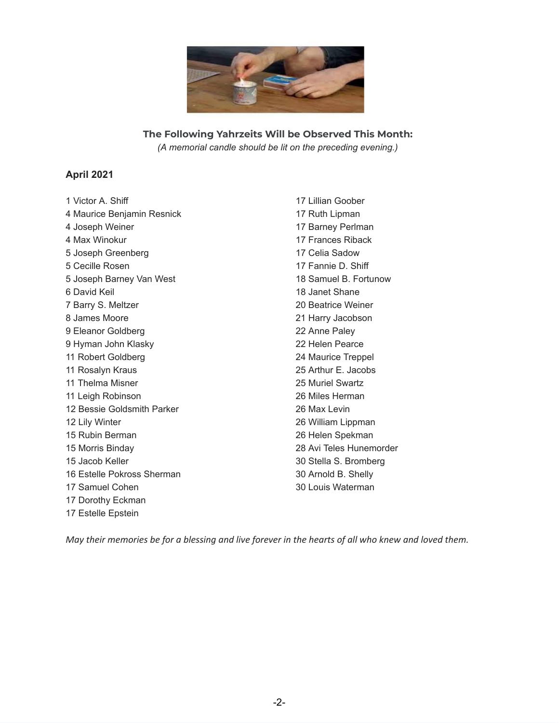

**The Following Yahrzeits Will be Observed This Month:** *(A memorial candle should be lit on the preceding evening.)*

### **April 2021**

 Victor A. Shiff Maurice Benjamin Resnick Joseph Weiner Max Winokur Joseph Greenberg Cecille Rosen Joseph Barney Van West David Keil Barry S. Meltzer James Moore Eleanor Goldberg Hyman John Klasky Robert Goldberg Rosalyn Kraus Thelma Misner Leigh Robinson Bessie Goldsmith Parker Lily Winter Rubin Berman Morris Binday Jacob Keller Estelle Pokross Sherman Samuel Cohen Dorothy Eckman Estelle Epstein

 Lillian Goober Ruth Lipman Barney Perlman Frances Riback Celia Sadow Fannie D. Shiff Samuel B. Fortunow Janet Shane Beatrice Weiner Harry Jacobson Anne Paley Helen Pearce Maurice Treppel Arthur E. Jacobs Muriel Swartz Miles Herman Max Levin William Lippman Helen Spekman Avi Teles Hunemorder Stella S. Bromberg Arnold B. Shelly Louis Waterman

May their memories be for a blessing and live forever in the hearts of all who knew and loved them.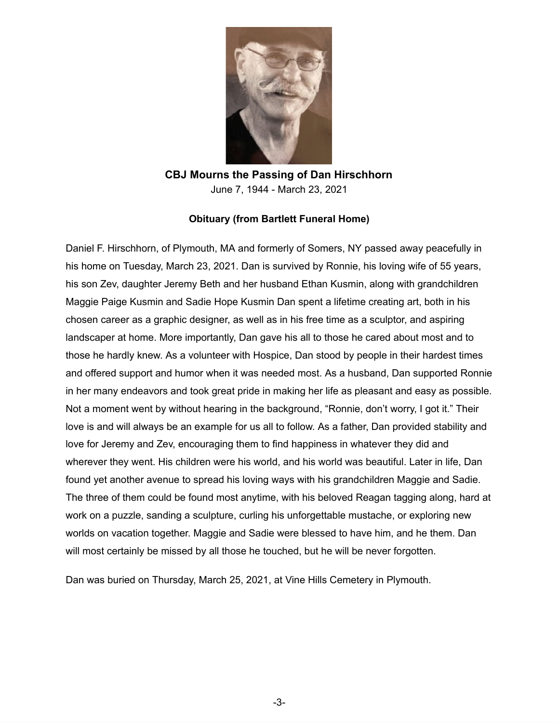

**CBJ Mourns the Passing of Dan Hirschhorn**  June 7, 1944 - March 23, 2021

#### **Obituary (from Bartlett Funeral Home)**

Daniel F. Hirschhorn, of Plymouth, MA and formerly of Somers, NY passed away peacefully in his home on Tuesday, March 23, 2021. Dan is survived by Ronnie, his loving wife of 55 years, his son Zev, daughter Jeremy Beth and her husband Ethan Kusmin, along with grandchildren Maggie Paige Kusmin and Sadie Hope Kusmin Dan spent a lifetime creating art, both in his chosen career as a graphic designer, as well as in his free time as a sculptor, and aspiring landscaper at home. More importantly, Dan gave his all to those he cared about most and to those he hardly knew. As a volunteer with Hospice, Dan stood by people in their hardest times and offered support and humor when it was needed most. As a husband, Dan supported Ronnie in her many endeavors and took great pride in making her life as pleasant and easy as possible. Not a moment went by without hearing in the background, "Ronnie, don't worry, I got it." Their love is and will always be an example for us all to follow. As a father, Dan provided stability and love for Jeremy and Zev, encouraging them to find happiness in whatever they did and wherever they went. His children were his world, and his world was beautiful. Later in life, Dan found yet another avenue to spread his loving ways with his grandchildren Maggie and Sadie. The three of them could be found most anytime, with his beloved Reagan tagging along, hard at work on a puzzle, sanding a sculpture, curling his unforgettable mustache, or exploring new worlds on vacation together. Maggie and Sadie were blessed to have him, and he them. Dan will most certainly be missed by all those he touched, but he will be never forgotten.

Dan was buried on Thursday, March 25, 2021, at Vine Hills Cemetery in Plymouth.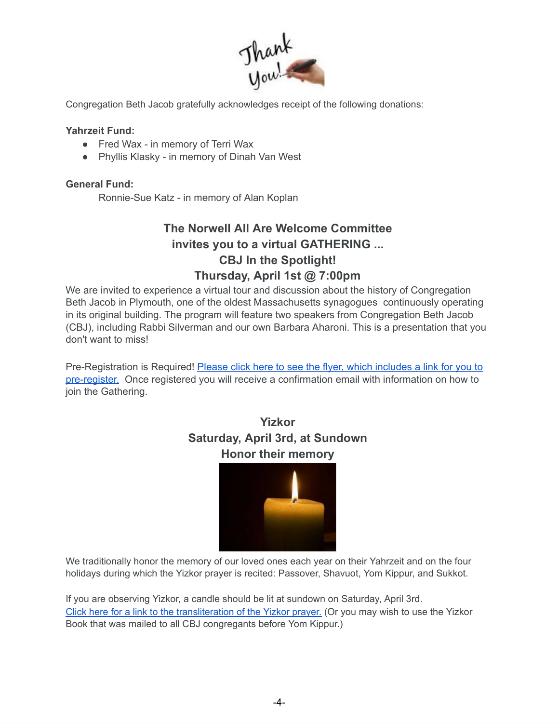

Congregation Beth Jacob gratefully acknowledges receipt of the following donations:

#### **Yahrzeit Fund:**

- Fred Wax in memory of Terri Wax
- Phyllis Klasky in memory of Dinah Van West

## **General Fund:**

Ronnie-Sue Katz - in memory of Alan Koplan

# **The Norwell All Are Welcome Committee invites you to a virtual GATHERING ... CBJ In the Spotlight! Thursday, April 1st @ 7:00pm**

We are invited to experience a virtual tour and discussion about the history of Congregation Beth Jacob in Plymouth, one of the oldest Massachusetts synagogues continuously operating in its original building. The program will feature two speakers from Congregation Beth Jacob (CBJ), including Rabbi Silverman and our own Barbara Aharoni. This is a presentation that you don't want to miss!

Pre-Registration is Required! Please click here to see the flyer, which [includes](https://drive.google.com/file/d/1bdSpSrJb2SK1ijaTb5uxzP6FAMFIa-u8/view) a link for you to [pre-register.](https://drive.google.com/file/d/1bdSpSrJb2SK1ijaTb5uxzP6FAMFIa-u8/view) Once registered you will receive a confirmation email with information on how to join the Gathering.

# **Yizkor Saturday, April 3rd, at Sundown Honor their memory**



We traditionally honor the memory of our loved ones each year on their Yahrzeit and on the four holidays during which the Yizkor prayer is recited: Passover, Shavuot, Yom Kippur, and Sukkot.

If you are observing Yizkor, a candle should be lit at sundown on Saturday, April 3rd. [Click here for a link to the transliteration of the Yizkor prayer.](http://njmw.s3.amazonaws.com/cms/images/3fa88eab48337682/yizkor_prayer.pdf) (Or you may wish to use the Yizkor Book that was mailed to all CBJ congregants before Yom Kippur.)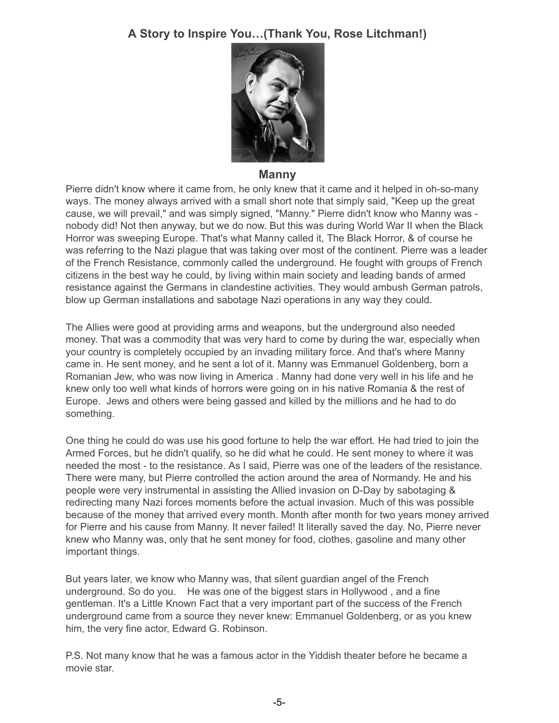# **A Story to Inspire You…(Thank You, Rose Litchman!)**



#### **Manny**

Pierre didn't know where it came from, he only knew that it came and it helped in oh-so-many ways. The money always arrived with a small short note that simply said, "Keep up the great cause, we will prevail," and was simply signed, "Manny." Pierre didn't know who Manny was nobody did! Not then anyway, but we do now. But this was during World War II when the Black Horror was sweeping Europe. That's what Manny called it, The Black Horror, & of course he was referring to the Nazi plague that was taking over most of the continent. Pierre was a leader of the French Resistance, commonly called the underground. He fought with groups of French citizens in the best way he could, by living within main society and leading bands of armed resistance against the Germans in clandestine activities. They would ambush German patrols, blow up German installations and sabotage Nazi operations in any way they could.

The Allies were good at providing arms and weapons, but the underground also needed money. That was a commodity that was very hard to come by during the war, especially when your country is completely occupied by an invading military force. And that's where Manny came in. He sent money, and he sent a lot of it. Manny was Emmanuel Goldenberg, born a Romanian Jew, who was now living in America . Manny had done very well in his life and he knew only too well what kinds of horrors were going on in his native Romania & the rest of Europe. Jews and others were being gassed and killed by the millions and he had to do something.

One thing he could do was use his good fortune to help the war effort. He had tried to join the Armed Forces, but he didn't qualify, so he did what he could. He sent money to where it was needed the most - to the resistance. As I said, Pierre was one of the leaders of the resistance. There were many, but Pierre controlled the action around the area of Normandy. He and his people were very instrumental in assisting the Allied invasion on D-Day by sabotaging & redirecting many Nazi forces moments before the actual invasion. Much of this was possible because of the money that arrived every month. Month after month for two years money arrived for Pierre and his cause from Manny. It never failed! It literally saved the day. No, Pierre never knew who Manny was, only that he sent money for food, clothes, gasoline and many other important things.

But years later, we know who Manny was, that silent guardian angel of the French underground. So do you. He was one of the biggest stars in Hollywood , and a fine gentleman. It's a Little Known Fact that a very important part of the success of the French underground came from a source they never knew: Emmanuel Goldenberg, or as you knew him, the very fine actor, Edward G. Robinson.

P.S. Not many know that he was a famous actor in the Yiddish theater before he became a movie star.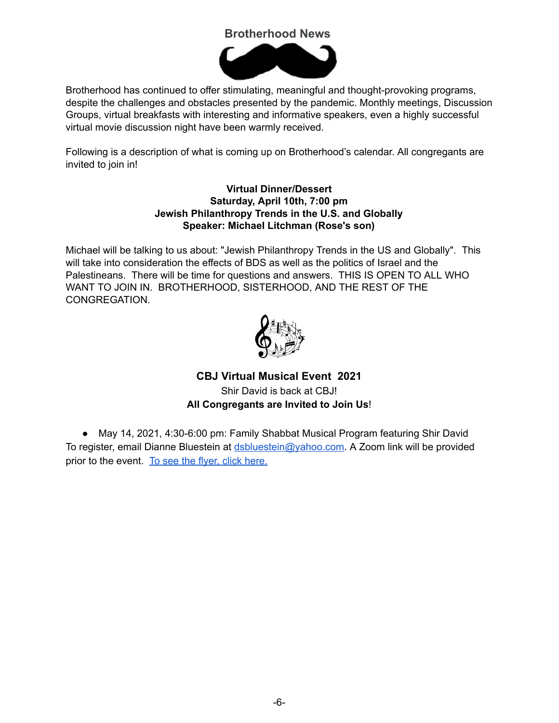# **Brotherhood News**



Brotherhood has continued to offer stimulating, meaningful and thought-provoking programs, despite the challenges and obstacles presented by the pandemic. Monthly meetings, Discussion Groups, virtual breakfasts with interesting and informative speakers, even a highly successful virtual movie discussion night have been warmly received.

Following is a description of what is coming up on Brotherhood's calendar. All congregants are invited to join in!

#### **Virtual Dinner/Dessert Saturday, April 10th, 7:00 pm Jewish Philanthropy Trends in the U.S. and Globally Speaker: Michael Litchman (Rose's son)**

Michael will be talking to us about: "Jewish Philanthropy Trends in the US and Globally". This will take into consideration the effects of BDS as well as the politics of Israel and the Palestineans. There will be time for questions and answers. THIS IS OPEN TO ALL WHO WANT TO JOIN IN. BROTHERHOOD, SISTERHOOD, AND THE REST OF THE CONGREGATION.



# **CBJ Virtual Musical Event 2021**  Shir David is back at CBJ! **All Congregants are Invited to Join Us**!

● May 14, 2021, 4:30-6:00 pm: Family Shabbat Musical Program featuring Shir David To register, email Dianne Bluestein at [dsbluestein@yahoo.com](mailto:dsbluestein@yahoo.com). A Zoom link will be provided prior to the event. To see the flyer, click [here.](https://drive.google.com/file/d/1Td6o4Oq2omVJSilJ6Q7x4iLe_vK2MrXz/view?usp=sharing)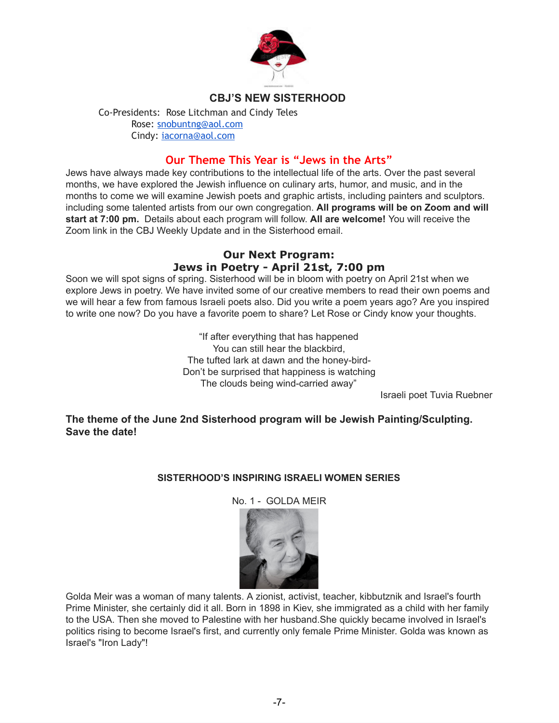

## **CBJ'S NEW SISTERHOOD**

Co-Presidents: Rose Litchman and Cindy Teles Rose: [snobuntng@aol.com](mailto:snobuntng@aol.com) Cindy: [iacorna@aol.com](mailto:iacorna@aol.com)

## **Our Theme This Year is "Jews in the Arts"**

Jews have always made key contributions to the intellectual life of the arts. Over the past several months, we have explored the Jewish influence on culinary arts, humor, and music, and in the months to come we will examine Jewish poets and graphic artists, including painters and sculptors. including some talented artists from our own congregation. **All programs will be on Zoom and will start at 7:00 pm.** Details about each program will follow. **All are welcome!** You will receive the Zoom link in the CBJ Weekly Update and in the Sisterhood email.

## **Our Next Program: Jews in Poetry - April 21st, 7:00 pm**

Soon we will spot signs of spring. Sisterhood will be in bloom with poetry on April 21st when we explore Jews in poetry. We have invited some of our creative members to read their own poems and we will hear a few from famous Israeli poets also. Did you write a poem years ago? Are you inspired to write one now? Do you have a favorite poem to share? Let Rose or Cindy know your thoughts.

> "If after everything that has happened You can still hear the blackbird, The tufted lark at dawn and the honey-bird-Don't be surprised that happiness is watching The clouds being wind-carried away"

Israeli poet Tuvia Ruebner

**The theme of the June 2nd Sisterhood program will be Jewish Painting/Sculpting. Save the date!**

## **SISTERHOOD'S INSPIRING ISRAELI WOMEN SERIES**

No. 1 - GOLDA MEIR



Golda Meir was a woman of many talents. A zionist, activist, teacher, kibbutznik and Israel's fourth Prime Minister, she certainly did it all. Born in 1898 in Kiev, she immigrated as a child with her family to the USA. Then she moved to Palestine with her husband.She quickly became involved in Israel's politics rising to become Israel's first, and currently only female Prime Minister. Golda was known as Israel's "Iron Lady"!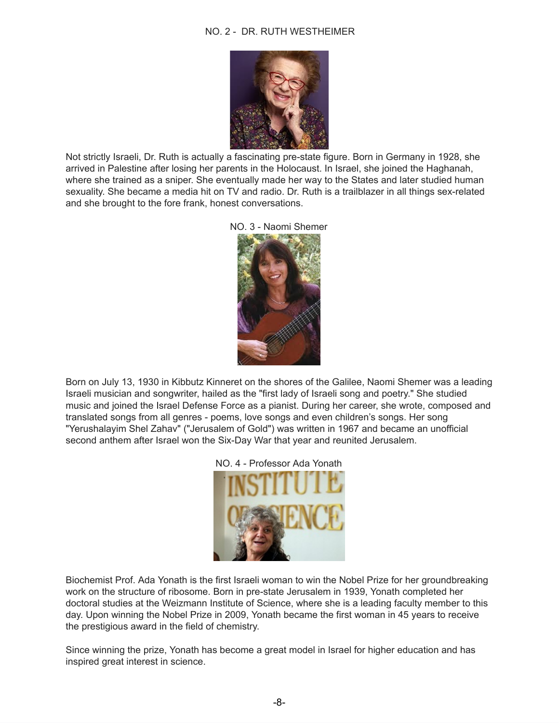#### NO. 2 - DR. RUTH WESTHEIMER



Not strictly Israeli, Dr. Ruth is actually a fascinating pre-state figure. Born in Germany in 1928, she arrived in Palestine after losing her parents in the Holocaust. In Israel, she joined the Haghanah, where she trained as a sniper. She eventually made her way to the States and later studied human sexuality. She became a media hit on TV and radio. Dr. Ruth is a trailblazer in all things sex-related and she brought to the fore frank, honest conversations.





Born on July 13, 1930 in Kibbutz Kinneret on the shores of the Galilee, Naomi Shemer was a leading Israeli musician and songwriter, hailed as the "first lady of Israeli song and poetry." She studied music and joined the Israel Defense Force as a pianist. During her career, she wrote, composed and translated songs from all genres - poems, love songs and even children's songs. Her song "Yerushalayim Shel Zahav" ("Jerusalem of Gold") was written in 1967 and became an unofficial second anthem after Israel won the Six-Day War that year and reunited Jerusalem.



NO. 4 - Professor Ada Yonath

Biochemist Prof. Ada Yonath is the first Israeli woman to win the Nobel Prize for her groundbreaking work on the structure of ribosome. Born in pre-state Jerusalem in 1939, Yonath completed her doctoral studies at the Weizmann Institute of Science, where she is a leading faculty member to this day. Upon winning the Nobel Prize in 2009, Yonath became the first woman in 45 years to receive the prestigious award in the field of chemistry.

Since winning the prize, Yonath has become a great model in Israel for higher education and has inspired great interest in science.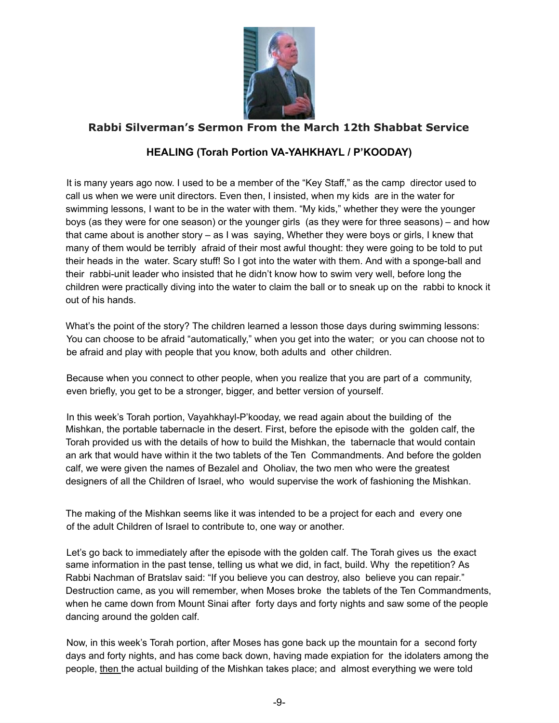

## **Rabbi Silverman's Sermon From the March 12th Shabbat Service**

## **HEALING (Torah Portion VA-YAHKHAYL / P'KOODAY)**

It is many years ago now. I used to be a member of the "Key Staff," as the camp director used to call us when we were unit directors. Even then, I insisted, when my kids are in the water for swimming lessons, I want to be in the water with them. "My kids," whether they were the younger boys (as they were for one season) or the younger girls (as they were for three seasons) – and how that came about is another story – as I was saying, Whether they were boys or girls, I knew that many of them would be terribly afraid of their most awful thought: they were going to be told to put their heads in the water. Scary stuff! So I got into the water with them. And with a sponge-ball and their rabbi-unit leader who insisted that he didn't know how to swim very well, before long the children were practically diving into the water to claim the ball or to sneak up on the rabbi to knock it out of his hands.

What's the point of the story? The children learned a lesson those days during swimming lessons: You can choose to be afraid "automatically," when you get into the water; or you can choose not to be afraid and play with people that you know, both adults and other children.

Because when you connect to other people, when you realize that you are part of a community, even briefly, you get to be a stronger, bigger, and better version of yourself.

In this week's Torah portion, Vayahkhayl-P'kooday, we read again about the building of the Mishkan, the portable tabernacle in the desert. First, before the episode with the golden calf, the Torah provided us with the details of how to build the Mishkan, the tabernacle that would contain an ark that would have within it the two tablets of the Ten Commandments. And before the golden calf, we were given the names of Bezalel and Oholiav, the two men who were the greatest designers of all the Children of Israel, who would supervise the work of fashioning the Mishkan.

The making of the Mishkan seems like it was intended to be a project for each and every one of the adult Children of Israel to contribute to, one way or another.

Let's go back to immediately after the episode with the golden calf. The Torah gives us the exact same information in the past tense, telling us what we did, in fact, build. Why the repetition? As Rabbi Nachman of Bratslav said: "If you believe you can destroy, also believe you can repair." Destruction came, as you will remember, when Moses broke the tablets of the Ten Commandments, when he came down from Mount Sinai after forty days and forty nights and saw some of the people dancing around the golden calf.

Now, in this week's Torah portion, after Moses has gone back up the mountain for a second forty days and forty nights, and has come back down, having made expiation for the idolaters among the people, then the actual building of the Mishkan takes place; and almost everything we were told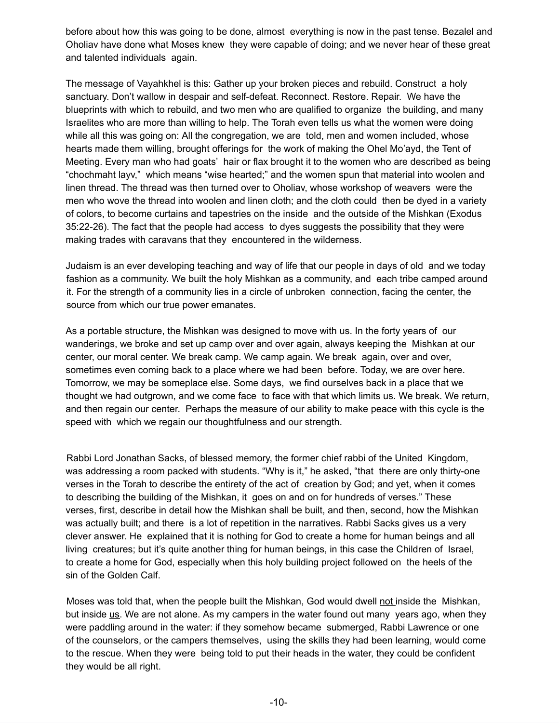before about how this was going to be done, almost everything is now in the past tense. Bezalel and Oholiav have done what Moses knew they were capable of doing; and we never hear of these great and talented individuals again.

The message of Vayahkhel is this: Gather up your broken pieces and rebuild. Construct a holy sanctuary. Don't wallow in despair and self-defeat. Reconnect. Restore. Repair. We have the blueprints with which to rebuild, and two men who are qualified to organize the building, and many Israelites who are more than willing to help. The Torah even tells us what the women were doing while all this was going on: All the congregation, we are told, men and women included, whose hearts made them willing, brought offerings for the work of making the Ohel Mo'ayd, the Tent of Meeting. Every man who had goats' hair or flax brought it to the women who are described as being "chochmaht layv," which means "wise hearted;" and the women spun that material into woolen and linen thread. The thread was then turned over to Oholiav, whose workshop of weavers were the men who wove the thread into woolen and linen cloth; and the cloth could then be dyed in a variety of colors, to become curtains and tapestries on the inside and the outside of the Mishkan (Exodus 35:22-26). The fact that the people had access to dyes suggests the possibility that they were making trades with caravans that they encountered in the wilderness.

Judaism is an ever developing teaching and way of life that our people in days of old and we today fashion as a community. We built the holy Mishkan as a community, and each tribe camped around it. For the strength of a community lies in a circle of unbroken connection, facing the center, the source from which our true power emanates.

As a portable structure, the Mishkan was designed to move with us. In the forty years of our wanderings, we broke and set up camp over and over again, always keeping the Mishkan at our center, our moral center. We break camp. We camp again. We break again **,** over and over, sometimes even coming back to a place where we had been before. Today, we are over here. Tomorrow, we may be someplace else. Some days, we find ourselves back in a place that we thought we had outgrown, and we come face to face with that which limits us. We break. We return, and then regain our center. Perhaps the measure of our ability to make peace with this cycle is the speed with which we regain our thoughtfulness and our strength.

Rabbi Lord Jonathan Sacks, of blessed memory, the former chief rabbi of the United Kingdom, was addressing a room packed with students. "Why is it," he asked, "that there are only thirty-one verses in the Torah to describe the entirety of the act of creation by God; and yet, when it comes to describing the building of the Mishkan, it goes on and on for hundreds of verses." These verses, first, describe in detail how the Mishkan shall be built, and then, second, how the Mishkan was actually built; and there is a lot of repetition in the narratives. Rabbi Sacks gives us a very clever answer. He explained that it is nothing for God to create a home for human beings and all living creatures; but it's quite another thing for human beings, in this case the Children of Israel, to create a home for God, especially when this holy building project followed on the heels of the sin of the Golden Calf.

Moses was told that, when the people built the Mishkan, God would dwell not inside the Mishkan, but inside us . We are not alone. As my campers in the water found out many years ago, when they were paddling around in the water: if they somehow became submerged, Rabbi Lawrence or one of the counselors, or the campers themselves, using the skills they had been learning, would come to the rescue. When they were being told to put their heads in the water, they could be confident they would be all right.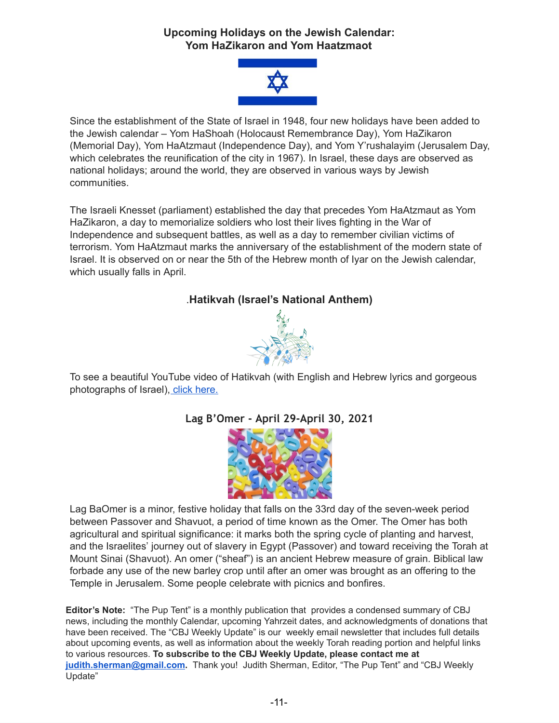## **Upcoming Holidays on the Jewish Calendar: Yom HaZikaron and Yom Haatzmaot**



Since the establishment of the State of Israel in 1948, four new holidays have been added to the Jewish calendar – Yom HaShoah (Holocaust Remembrance Day), Yom HaZikaron (Memorial Day), Yom HaAtzmaut (Independence Day), and Yom Y'rushalayim (Jerusalem Day, which celebrates the reunification of the city in 1967). In Israel, these days are observed as national holidays; around the world, they are observed in various ways by Jewish communities.

The Israeli Knesset (parliament) established the day that precedes Yom HaAtzmaut as Yom HaZikaron, a day to memorialize soldiers who lost their lives fighting in the War of Independence and subsequent battles, as well as a day to remember civilian victims of terrorism. Yom HaAtzmaut marks the anniversary of the establishment of the modern state of Israel. It is observed on or near the 5th of the Hebrew month of Iyar on the Jewish calendar, which usually falls in April.

## . **Hatikvah (Israel's National Anthem)**



To see a beautiful YouTube video of Hatikvah (with English and Hebrew lyrics and gorgeous photographs of Israel), click [here.](https://www.youtube.com/watch?v=c_9N1ldPtQ8)

# **Lag B'Omer - April 29-April 30, 2021**



Lag BaOmer is a minor, festive holiday that falls on the 33rd day of the seven-week period between Passover and Shavuot, a period of time known as the Omer. The Omer has both agricultural and spiritual significance: it marks both the spring cycle of planting and harvest, and the Israelites' journey out of slavery in Egypt (Passover) and toward receiving the Torah at Mount Sinai (Shavuot). An omer ("sheaf") is an ancient Hebrew measure of grain. Biblical law forbade any use of the new barley crop until after an omer was brought as an offering to the Temple in Jerusalem. Some people celebrate with picnics and bonfires.

**Editor's Note:** "The Pup Tent" is a monthly publication that provides a condensed summary of CBJ news, including the monthly Calendar, upcoming Yahrzeit dates, and acknowledgments of donations that have been received. The "CBJ Weekly Update" is our weekly email newsletter that includes full details about upcoming events, as well as information about the weekly Torah reading portion and helpful links to various resources. **To subscribe to the CBJ Weekly Update, please contact me at [judith.sherman@gmail.com](mailto:judith.sherman@gmail.com).** Thank you! Judith Sherman, Editor, "The Pup Tent" and "CBJ Weekly Update"